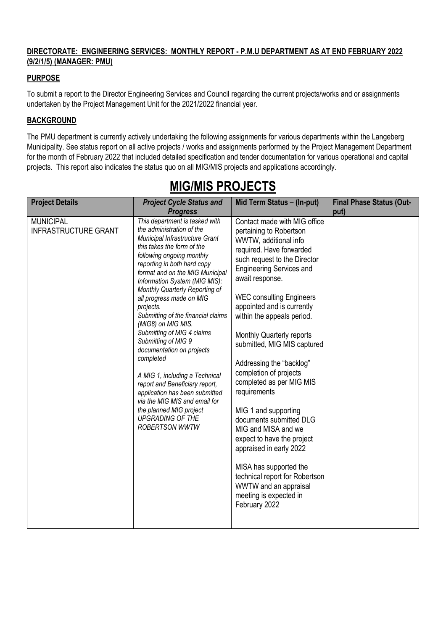#### **DIRECTORATE: ENGINEERING SERVICES: MONTHLY REPORT - P.M.U DEPARTMENT AS AT END FEBRUARY 2022 (9/2/1/5) (MANAGER: PMU)**

#### **PURPOSE**

To submit a report to the Director Engineering Services and Council regarding the current projects/works and or assignments undertaken by the Project Management Unit for the 2021/2022 financial year.

#### **BACKGROUND**

The PMU department is currently actively undertaking the following assignments for various departments within the Langeberg Municipality. See status report on all active projects / works and assignments performed by the Project Management Department for the month of February 2022 that included detailed specification and tender documentation for various operational and capital projects. This report also indicates the status quo on all MIG/MIS projects and applications accordingly.

| <b>Project Details</b>                          | <b>Project Cycle Status and</b>                                                                                                                                                                                                                                                                                                                                                                                                                                                                                                                                                                                                                                                                                         | Mid Term Status - (In-put)                                                                                                                                                                                                                                                                                                                                                                                                                                                                                                                                                                                                                                                                                                         | <b>Final Phase Status (Out-</b> |
|-------------------------------------------------|-------------------------------------------------------------------------------------------------------------------------------------------------------------------------------------------------------------------------------------------------------------------------------------------------------------------------------------------------------------------------------------------------------------------------------------------------------------------------------------------------------------------------------------------------------------------------------------------------------------------------------------------------------------------------------------------------------------------------|------------------------------------------------------------------------------------------------------------------------------------------------------------------------------------------------------------------------------------------------------------------------------------------------------------------------------------------------------------------------------------------------------------------------------------------------------------------------------------------------------------------------------------------------------------------------------------------------------------------------------------------------------------------------------------------------------------------------------------|---------------------------------|
|                                                 | <b>Progress</b>                                                                                                                                                                                                                                                                                                                                                                                                                                                                                                                                                                                                                                                                                                         |                                                                                                                                                                                                                                                                                                                                                                                                                                                                                                                                                                                                                                                                                                                                    | put)                            |
| <b>MUNICIPAL</b><br><b>INFRASTRUCTURE GRANT</b> | This department is tasked with<br>the administration of the<br>Municipal Infrastructure Grant<br>this takes the form of the<br>following ongoing monthly<br>reporting in both hard copy<br>format and on the MIG Municipal<br>Information System (MIG MIS):<br>Monthly Quarterly Reporting of<br>all progress made on MIG<br>projects.<br>Submitting of the financial claims<br>(MIG8) on MIG MIS.<br>Submitting of MIG 4 claims<br>Submitting of MIG 9<br>documentation on projects<br>completed<br>A MIG 1, including a Technical<br>report and Beneficiary report,<br>application has been submitted<br>via the MIG MIS and email for<br>the planned MIG project<br><b>UPGRADING OF THE</b><br><b>ROBERTSON WWTW</b> | Contact made with MIG office<br>pertaining to Robertson<br>WWTW, additional info<br>required. Have forwarded<br>such request to the Director<br><b>Engineering Services and</b><br>await response.<br><b>WEC consulting Engineers</b><br>appointed and is currently<br>within the appeals period.<br>Monthly Quarterly reports<br>submitted, MIG MIS captured<br>Addressing the "backlog"<br>completion of projects<br>completed as per MIG MIS<br>requirements<br>MIG 1 and supporting<br>documents submitted DLG<br>MIG and MISA and we<br>expect to have the project<br>appraised in early 2022<br>MISA has supported the<br>technical report for Robertson<br>WWTW and an appraisal<br>meeting is expected in<br>February 2022 |                                 |

# **MIG/MIS PROJECTS**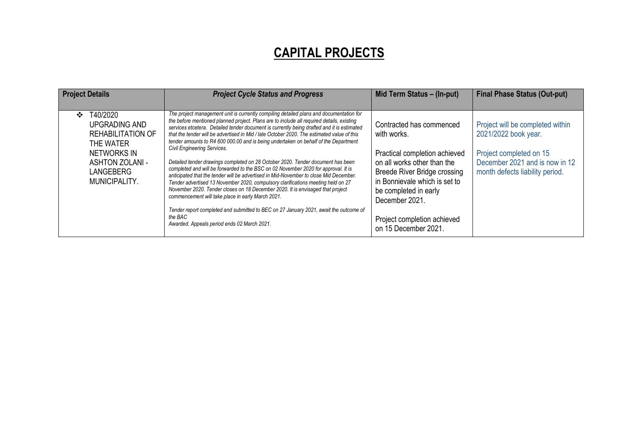## **CAPITAL PROJECTS**

| <b>Project Details</b>                                                                                                                               | <b>Project Cycle Status and Progress</b>                                                                                                                                                                                                                                                                                                                                                                                                                                                                                                                                                                                                                                                                                                                                                                                                                                                                                                                                                                                                                                                                                                                      | Mid Term Status - (In-put)                                                                                                                                                                                                                                                        | <b>Final Phase Status (Out-put)</b>                                                                                                                      |
|------------------------------------------------------------------------------------------------------------------------------------------------------|---------------------------------------------------------------------------------------------------------------------------------------------------------------------------------------------------------------------------------------------------------------------------------------------------------------------------------------------------------------------------------------------------------------------------------------------------------------------------------------------------------------------------------------------------------------------------------------------------------------------------------------------------------------------------------------------------------------------------------------------------------------------------------------------------------------------------------------------------------------------------------------------------------------------------------------------------------------------------------------------------------------------------------------------------------------------------------------------------------------------------------------------------------------|-----------------------------------------------------------------------------------------------------------------------------------------------------------------------------------------------------------------------------------------------------------------------------------|----------------------------------------------------------------------------------------------------------------------------------------------------------|
| T40/2020<br>$\cdot$<br>UPGRADING AND<br><b>REHABILITATION OF</b><br>THE WATER<br>NETWORKS IN<br><b>ASHTON ZOLANI -</b><br>LANGEBERG<br>MUNICIPALITY. | The project management unit is currently compiling detailed plans and documentation for<br>the before mentioned planned project. Plans are to include all required details, existing<br>services etcetera. Detailed tender document is currently being drafted and it is estimated<br>that the tender will be advertised in Mid / late October 2020. The estimated value of this<br>tender amounts to R4 600 000.00 and is being undertaken on behalf of the Department<br><b>Civil Engineering Services.</b><br>Detailed tender drawings completed on 28 October 2020. Tender document has been<br>completed and will be forwarded to the BSC on 02 November 2020 for approval. It is<br>anticipated that the tender will be advertised in Mid-November to close Mid December.<br>Tender advertised 13 November 2020, compulsory clarifications meeting held on 27<br>November 2020. Tender closes on 18 December 2020. It is envisaged that project<br>commencement will take place in early March 2021.<br>Tender report completed and submitted to BEC on 27 January 2021, await the outcome of<br>the BAC<br>Awarded. Appeals period ends 02 March 2021. | Contracted has commenced<br>with works.<br>Practical completion achieved<br>on all works other than the<br><b>Breede River Bridge crossing</b><br>in Bonnievale which is set to<br>be completed in early<br>December 2021.<br>Project completion achieved<br>on 15 December 2021. | Project will be completed within<br>2021/2022 book year.<br>Project completed on 15<br>December 2021 and is now in 12<br>month defects liability period. |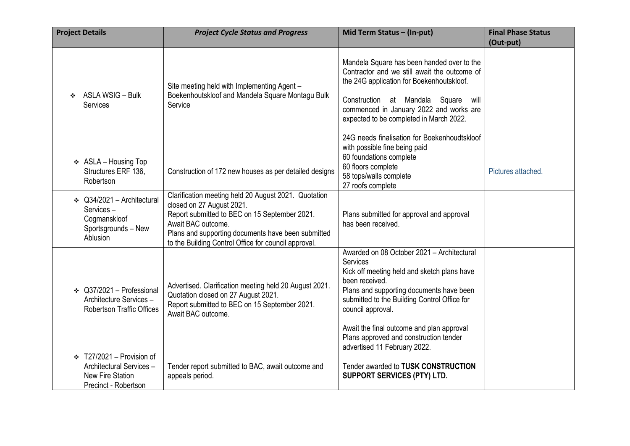| <b>Project Details</b> |                                                                                                        | <b>Project Cycle Status and Progress</b>                                                                                                                                                                                                                               | Mid Term Status - (In-put)                                                                                                                                                                                                                                                                                                                                      | <b>Final Phase Status</b> |
|------------------------|--------------------------------------------------------------------------------------------------------|------------------------------------------------------------------------------------------------------------------------------------------------------------------------------------------------------------------------------------------------------------------------|-----------------------------------------------------------------------------------------------------------------------------------------------------------------------------------------------------------------------------------------------------------------------------------------------------------------------------------------------------------------|---------------------------|
|                        |                                                                                                        |                                                                                                                                                                                                                                                                        |                                                                                                                                                                                                                                                                                                                                                                 | (Out-put)                 |
|                        | ❖ ASLA WSIG - Bulk<br><b>Services</b>                                                                  | Site meeting held with Implementing Agent -<br>Boekenhoutskloof and Mandela Square Montagu Bulk<br>Service                                                                                                                                                             | Mandela Square has been handed over to the<br>Contractor and we still await the outcome of<br>the 24G application for Boekenhoutskloof.<br>Construction at Mandala Square will<br>commenced in January 2022 and works are<br>expected to be completed in March 2022.<br>24G needs finalisation for Boekenhoudtskloof                                            |                           |
|                        |                                                                                                        |                                                                                                                                                                                                                                                                        | with possible fine being paid                                                                                                                                                                                                                                                                                                                                   |                           |
|                        | ❖ ASLA - Housing Top<br>Structures ERF 136,<br>Robertson                                               | Construction of 172 new houses as per detailed designs                                                                                                                                                                                                                 | 60 foundations complete<br>60 floors complete<br>58 tops/walls complete<br>27 roofs complete                                                                                                                                                                                                                                                                    | Pictures attached.        |
|                        | $\div$ Q34/2021 - Architectural<br>Services-<br>Cogmanskloof<br>Sportsgrounds - New<br>Ablusion        | Clarification meeting held 20 August 2021. Quotation<br>closed on 27 August 2021.<br>Report submitted to BEC on 15 September 2021.<br>Await BAC outcome.<br>Plans and supporting documents have been submitted<br>to the Building Control Office for council approval. | Plans submitted for approval and approval<br>has been received.                                                                                                                                                                                                                                                                                                 |                           |
|                        | ❖ Q37/2021 - Professional<br>Architecture Services-<br><b>Robertson Traffic Offices</b>                | Advertised. Clarification meeting held 20 August 2021.<br>Quotation closed on 27 August 2021.<br>Report submitted to BEC on 15 September 2021.<br>Await BAC outcome.                                                                                                   | Awarded on 08 October 2021 - Architectural<br>Services<br>Kick off meeting held and sketch plans have<br>been received.<br>Plans and supporting documents have been<br>submitted to the Building Control Office for<br>council approval.<br>Await the final outcome and plan approval<br>Plans approved and construction tender<br>advertised 11 February 2022. |                           |
|                        | $\div$ T27/2021 – Provision of<br>Architectural Services -<br>New Fire Station<br>Precinct - Robertson | Tender report submitted to BAC, await outcome and<br>appeals period.                                                                                                                                                                                                   | Tender awarded to TUSK CONSTRUCTION<br><b>SUPPORT SERVICES (PTY) LTD.</b>                                                                                                                                                                                                                                                                                       |                           |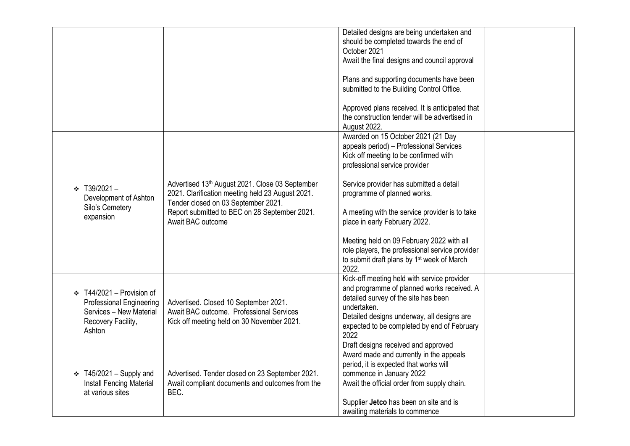|                                                                                                                              |                                                                                                                                                                                                                  | Detailed designs are being undertaken and<br>should be completed towards the end of<br>October 2021<br>Await the final designs and council approval                                                                                                                                          |  |
|------------------------------------------------------------------------------------------------------------------------------|------------------------------------------------------------------------------------------------------------------------------------------------------------------------------------------------------------------|----------------------------------------------------------------------------------------------------------------------------------------------------------------------------------------------------------------------------------------------------------------------------------------------|--|
|                                                                                                                              |                                                                                                                                                                                                                  | Plans and supporting documents have been<br>submitted to the Building Control Office.                                                                                                                                                                                                        |  |
|                                                                                                                              |                                                                                                                                                                                                                  | Approved plans received. It is anticipated that<br>the construction tender will be advertised in<br>August 2022.                                                                                                                                                                             |  |
|                                                                                                                              |                                                                                                                                                                                                                  | Awarded on 15 October 2021 (21 Day<br>appeals period) - Professional Services<br>Kick off meeting to be confirmed with<br>professional service provider                                                                                                                                      |  |
| $\div$ T39/2021 -<br>Development of Ashton<br>Silo's Cemetery<br>expansion                                                   | Advertised 13th August 2021. Close 03 September<br>2021. Clarification meeting held 23 August 2021.<br>Tender closed on 03 September 2021.<br>Report submitted to BEC on 28 September 2021.<br>Await BAC outcome | Service provider has submitted a detail<br>programme of planned works.<br>A meeting with the service provider is to take<br>place in early February 2022.                                                                                                                                    |  |
|                                                                                                                              |                                                                                                                                                                                                                  | Meeting held on 09 February 2022 with all<br>role players, the professional service provider<br>to submit draft plans by 1 <sup>st</sup> week of March<br>2022.                                                                                                                              |  |
| $\div$ T44/2021 – Provision of<br><b>Professional Engineering</b><br>Services - New Material<br>Recovery Facility,<br>Ashton | Advertised. Closed 10 September 2021.<br>Await BAC outcome. Professional Services<br>Kick off meeting held on 30 November 2021.                                                                                  | Kick-off meeting held with service provider<br>and programme of planned works received. A<br>detailed survey of the site has been<br>undertaken.<br>Detailed designs underway, all designs are<br>expected to be completed by end of February<br>2022<br>Draft designs received and approved |  |
| $\div$ T45/2021 – Supply and<br><b>Install Fencing Material</b><br>at various sites                                          | Advertised. Tender closed on 23 September 2021.<br>Await compliant documents and outcomes from the<br>BEC.                                                                                                       | Award made and currently in the appeals<br>period, it is expected that works will<br>commence in January 2022<br>Await the official order from supply chain.<br>Supplier Jetco has been on site and is<br>awaiting materials to commence                                                     |  |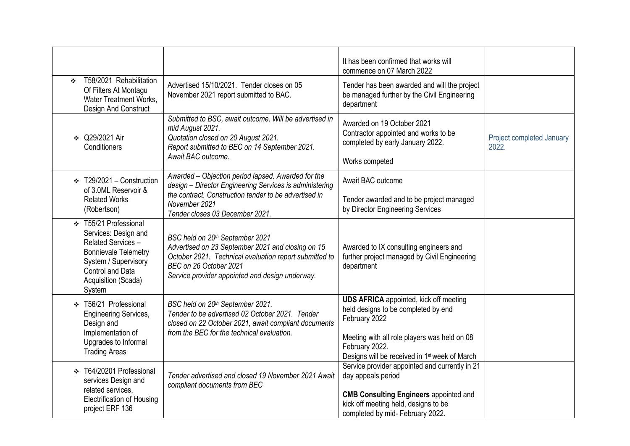|                                                                                                                                                                                               |                                                                                                                                                                                                                             | It has been confirmed that works will<br>commence on 07 March 2022                                                                                                                                                                   |                                    |
|-----------------------------------------------------------------------------------------------------------------------------------------------------------------------------------------------|-----------------------------------------------------------------------------------------------------------------------------------------------------------------------------------------------------------------------------|--------------------------------------------------------------------------------------------------------------------------------------------------------------------------------------------------------------------------------------|------------------------------------|
| T58/2021 Rehabilitation<br>÷<br>Of Filters At Montagu<br>Water Treatment Works,<br>Design And Construct                                                                                       | Advertised 15/10/2021. Tender closes on 05<br>November 2021 report submitted to BAC.                                                                                                                                        | Tender has been awarded and will the project<br>be managed further by the Civil Engineering<br>department                                                                                                                            |                                    |
| ❖ Q29/2021 Air<br>Conditioners                                                                                                                                                                | Submitted to BSC, await outcome. Will be advertised in<br>mid August 2021.<br>Quotation closed on 20 August 2021.<br>Report submitted to BEC on 14 September 2021.<br>Await BAC outcome.                                    | Awarded on 19 October 2021<br>Contractor appointed and works to be<br>completed by early January 2022.<br>Works competed                                                                                                             | Project completed January<br>2022. |
| $\div$ T29/2021 – Construction<br>of 3.0ML Reservoir &                                                                                                                                        | Awarded - Objection period lapsed. Awarded for the<br>design - Director Engineering Services is administering                                                                                                               | Await BAC outcome                                                                                                                                                                                                                    |                                    |
| <b>Related Works</b><br>(Robertson)                                                                                                                                                           | the contract. Construction tender to be advertised in<br>November 2021<br>Tender closes 03 December 2021.                                                                                                                   | Tender awarded and to be project managed<br>by Director Engineering Services                                                                                                                                                         |                                    |
| T55/21 Professional<br>$\mathcal{L}$<br>Services: Design and<br>Related Services-<br><b>Bonnievale Telemetry</b><br>System / Supervisory<br>Control and Data<br>Acquisition (Scada)<br>System | BSC held on 20th September 2021<br>Advertised on 23 September 2021 and closing on 15<br>October 2021. Technical evaluation report submitted to<br>BEC on 26 October 2021<br>Service provider appointed and design underway. | Awarded to IX consulting engineers and<br>further project managed by Civil Engineering<br>department                                                                                                                                 |                                    |
| ❖ T56/21 Professional<br><b>Engineering Services,</b><br>Design and<br>Implementation of<br>Upgrades to Informal<br><b>Trading Areas</b>                                                      | BSC held on 20th September 2021.<br>Tender to be advertised 02 October 2021. Tender<br>closed on 22 October 2021, await compliant documents<br>from the BEC for the technical evaluation.                                   | <b>UDS AFRICA</b> appointed, kick off meeting<br>held designs to be completed by end<br>February 2022<br>Meeting with all role players was held on 08<br>February 2022.<br>Designs will be received in 1 <sup>st</sup> week of March |                                    |
| ❖ T64/20201 Professional<br>services Design and<br>related services,<br><b>Electrification of Housing</b><br>project ERF 136                                                                  | Tender advertised and closed 19 November 2021 Await<br>compliant documents from BEC                                                                                                                                         | Service provider appointed and currently in 21<br>day appeals period<br><b>CMB Consulting Engineers appointed and</b><br>kick off meeting held, designs to be<br>completed by mid- February 2022.                                    |                                    |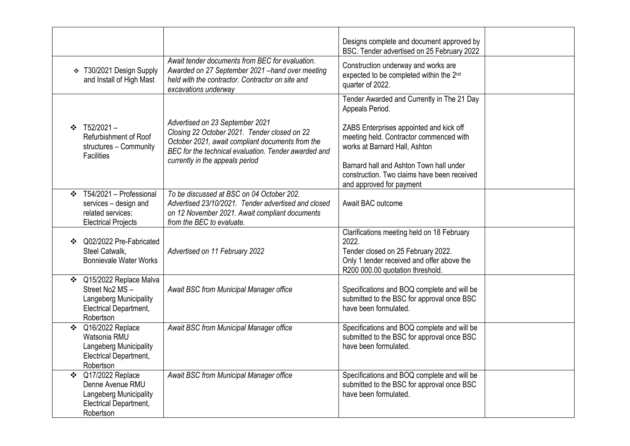|               |                                                                                                              |                                                                                                                                                                                                                                | Designs complete and document approved by<br>BSC. Tender advertised on 25 February 2022                                                                                     |  |
|---------------|--------------------------------------------------------------------------------------------------------------|--------------------------------------------------------------------------------------------------------------------------------------------------------------------------------------------------------------------------------|-----------------------------------------------------------------------------------------------------------------------------------------------------------------------------|--|
|               | ❖ T30/2021 Design Supply<br>and Install of High Mast                                                         | Await tender documents from BEC for evaluation.<br>Awarded on 27 September 2021 - hand over meeting<br>held with the contractor. Contractor on site and<br>excavations underway                                                | Construction underway and works are<br>expected to be completed within the 2 <sup>nd</sup><br>quarter of 2022.                                                              |  |
|               |                                                                                                              |                                                                                                                                                                                                                                | Tender Awarded and Currently in The 21 Day<br>Appeals Period.                                                                                                               |  |
|               | $\div$ T52/2021 -<br>Refurbishment of Roof<br>structures - Community<br><b>Facilities</b>                    | Advertised on 23 September 2021<br>Closing 22 October 2021. Tender closed on 22<br>October 2021, await compliant documents from the<br>BEC for the technical evaluation. Tender awarded and<br>currently in the appeals period | ZABS Enterprises appointed and kick off<br>meeting held. Contractor commenced with<br>works at Barnard Hall, Ashton<br>Barnard hall and Ashton Town hall under              |  |
|               |                                                                                                              |                                                                                                                                                                                                                                | construction. Two claims have been received<br>and approved for payment                                                                                                     |  |
| ❖             | T54/2021 - Professional<br>services - design and<br>related services:<br><b>Electrical Projects</b>          | To be discussed at BSC on 04 October 202.<br>Advertised 23/10/2021. Tender advertised and closed<br>on 12 November 2021. Await compliant documents<br>from the BEC to evaluate.                                                | Await BAC outcome                                                                                                                                                           |  |
|               | Q02/2022 Pre-Fabricated<br>Steel Catwalk,<br><b>Bonnievale Water Works</b>                                   | Advertised on 11 February 2022                                                                                                                                                                                                 | Clarifications meeting held on 18 February<br>2022.<br>Tender closed on 25 February 2022.<br>Only 1 tender received and offer above the<br>R200 000.00 quotation threshold. |  |
| ❖             | Q15/2022 Replace Malva<br>Street No2 MS-<br>Langeberg Municipality<br>Electrical Department,<br>Robertson    | Await BSC from Municipal Manager office                                                                                                                                                                                        | Specifications and BOQ complete and will be<br>submitted to the BSC for approval once BSC<br>have been formulated.                                                          |  |
| $\cdot \cdot$ | Q16/2022 Replace<br>Watsonia RMU<br>Langeberg Municipality<br>Electrical Department,<br>Robertson            | Await BSC from Municipal Manager office                                                                                                                                                                                        | Specifications and BOQ complete and will be<br>submitted to the BSC for approval once BSC<br>have been formulated.                                                          |  |
| $\mathbf{r}$  | Q17/2022 Replace<br>Denne Avenue RMU<br>Langeberg Municipality<br><b>Electrical Department,</b><br>Robertson | Await BSC from Municipal Manager office                                                                                                                                                                                        | Specifications and BOQ complete and will be<br>submitted to the BSC for approval once BSC<br>have been formulated.                                                          |  |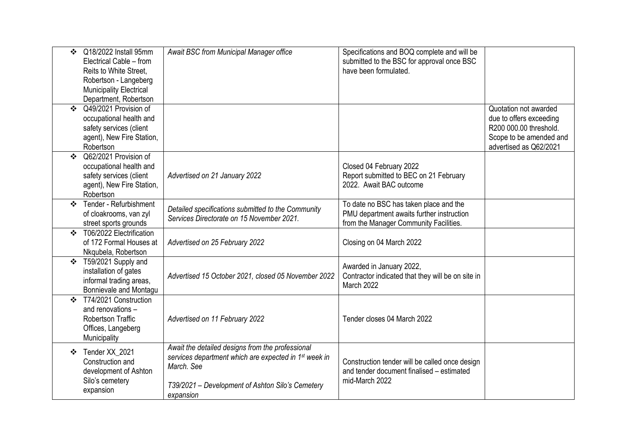| $\mathbf{A}$                              | Q18/2022 Install 95mm<br>Electrical Cable - from<br>Reits to White Street,<br>Robertson - Langeberg<br>Municipality Electrical<br>Department, Robertson | Await BSC from Municipal Manager office                                                                                                                                                              | Specifications and BOQ complete and will be<br>submitted to the BSC for approval once BSC<br>have been formulated.            |                                                                                                                                 |
|-------------------------------------------|---------------------------------------------------------------------------------------------------------------------------------------------------------|------------------------------------------------------------------------------------------------------------------------------------------------------------------------------------------------------|-------------------------------------------------------------------------------------------------------------------------------|---------------------------------------------------------------------------------------------------------------------------------|
| $\cdot$                                   | Q49/2021 Provision of<br>occupational health and<br>safety services (client<br>agent), New Fire Station,<br>Robertson                                   |                                                                                                                                                                                                      |                                                                                                                               | Quotation not awarded<br>due to offers exceeding<br>R200 000.00 threshold.<br>Scope to be amended and<br>advertised as Q62/2021 |
| $\mathbf{A}$                              | Q62/2021 Provision of<br>occupational health and<br>safety services (client<br>agent), New Fire Station,<br>Robertson                                   | Advertised on 21 January 2022                                                                                                                                                                        | Closed 04 February 2022<br>Report submitted to BEC on 21 February<br>2022. Await BAC outcome                                  |                                                                                                                                 |
| $\mathbf{A}$                              | Tender - Refurbishment<br>of cloakrooms, van zyl<br>street sports grounds                                                                               | Detailed specifications submitted to the Community<br>Services Directorate on 15 November 2021.                                                                                                      | To date no BSC has taken place and the<br>PMU department awaits further instruction<br>from the Manager Community Facilities. |                                                                                                                                 |
| $\mathbf{v}_i^*$                          | T06/2022 Electrification<br>of 172 Formal Houses at<br>Nkqubela, Robertson                                                                              | Advertised on 25 February 2022                                                                                                                                                                       | Closing on 04 March 2022                                                                                                      |                                                                                                                                 |
| $\frac{1}{2}$                             | T59/2021 Supply and<br>installation of gates<br>informal trading areas,<br>Bonnievale and Montagu                                                       | Advertised 15 October 2021, closed 05 November 2022                                                                                                                                                  | Awarded in January 2022,<br>Contractor indicated that they will be on site in<br>March 2022                                   |                                                                                                                                 |
| $\mathbf{r}^{\star}_{\mathbf{r}^{\star}}$ | T74/2021 Construction<br>and renovations -<br><b>Robertson Traffic</b><br>Offices, Langeberg<br>Municipality                                            | Advertised on 11 February 2022                                                                                                                                                                       | Tender closes 04 March 2022                                                                                                   |                                                                                                                                 |
| ❖                                         | Tender XX 2021<br>Construction and<br>development of Ashton<br>Silo's cemetery<br>expansion                                                             | Await the detailed designs from the professional<br>services department which are expected in 1 <sup>st</sup> week in<br>March. See<br>T39/2021 - Development of Ashton Silo's Cemetery<br>expansion | Construction tender will be called once design<br>and tender document finalised - estimated<br>mid-March 2022                 |                                                                                                                                 |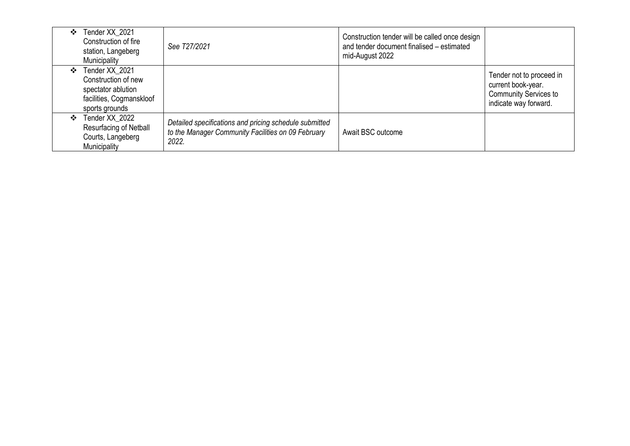| ❖            | Tender XX 2021<br>Construction of fire<br>station, Langeberg<br>Municipality                              | See T27/2021                                                                                                          | Construction tender will be called once design<br>and tender document finalised - estimated<br>mid-August 2022 |                                                                                                         |
|--------------|-----------------------------------------------------------------------------------------------------------|-----------------------------------------------------------------------------------------------------------------------|----------------------------------------------------------------------------------------------------------------|---------------------------------------------------------------------------------------------------------|
| ❖            | Tender XX 2021<br>Construction of new<br>spectator ablution<br>facilities, Cogmanskloof<br>sports grounds |                                                                                                                       |                                                                                                                | Tender not to proceed in<br>current book-year.<br><b>Community Services to</b><br>indicate way forward. |
| $\mathbf{A}$ | Tender XX 2022<br>Resurfacing of Netball<br>Courts, Langeberg<br>Municipality                             | Detailed specifications and pricing schedule submitted<br>to the Manager Community Facilities on 09 February<br>2022. | Await BSC outcome                                                                                              |                                                                                                         |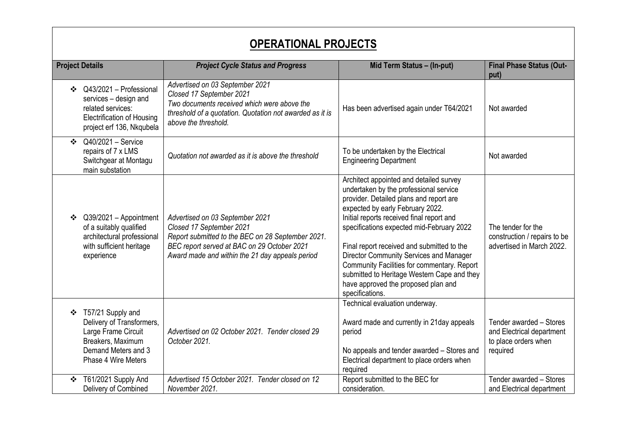| <b>OPERATIONAL PROJECTS</b>                                                                                                                  |                                                                                                                                                                                                                    |                                                                                                                                                                                                                                                                                                                                                                                                                                                                                                             |                                                                                          |
|----------------------------------------------------------------------------------------------------------------------------------------------|--------------------------------------------------------------------------------------------------------------------------------------------------------------------------------------------------------------------|-------------------------------------------------------------------------------------------------------------------------------------------------------------------------------------------------------------------------------------------------------------------------------------------------------------------------------------------------------------------------------------------------------------------------------------------------------------------------------------------------------------|------------------------------------------------------------------------------------------|
| <b>Project Details</b>                                                                                                                       | <b>Project Cycle Status and Progress</b>                                                                                                                                                                           | Mid Term Status - (In-put)                                                                                                                                                                                                                                                                                                                                                                                                                                                                                  | <b>Final Phase Status (Out-</b><br>put)                                                  |
| Q43/2021 - Professional<br>❖<br>services - design and<br>related services:<br><b>Electrification of Housing</b><br>project erf 136, Nkqubela | Advertised on 03 September 2021<br>Closed 17 September 2021<br>Two documents received which were above the<br>threshold of a quotation. Quotation not awarded as it is<br>above the threshold.                     | Has been advertised again under T64/2021                                                                                                                                                                                                                                                                                                                                                                                                                                                                    | Not awarded                                                                              |
| Q40/2021 - Service<br>$\mathbf{A}$<br>repairs of 7 x LMS<br>Switchgear at Montagu<br>main substation                                         | Quotation not awarded as it is above the threshold                                                                                                                                                                 | To be undertaken by the Electrical<br><b>Engineering Department</b>                                                                                                                                                                                                                                                                                                                                                                                                                                         | Not awarded                                                                              |
| Q39/2021 - Appointment<br>❖<br>of a suitably qualified<br>architectural professional<br>with sufficient heritage<br>experience               | Advertised on 03 September 2021<br>Closed 17 September 2021<br>Report submitted to the BEC on 28 September 2021.<br>BEC report served at BAC on 29 October 2021<br>Award made and within the 21 day appeals period | Architect appointed and detailed survey<br>undertaken by the professional service<br>provider. Detailed plans and report are<br>expected by early February 2022.<br>Initial reports received final report and<br>specifications expected mid-February 2022<br>Final report received and submitted to the<br>Director Community Services and Manager<br>Community Facilities for commentary. Report<br>submitted to Heritage Western Cape and they<br>have approved the proposed plan and<br>specifications. | The tender for the<br>construction / repairs to be<br>advertised in March 2022.          |
| ❖ T57/21 Supply and<br>Delivery of Transformers,<br>Large Frame Circuit<br>Breakers, Maximum<br>Demand Meters and 3<br>Phase 4 Wire Meters   | Advertised on 02 October 2021. Tender closed 29<br>October 2021.                                                                                                                                                   | Technical evaluation underway.<br>Award made and currently in 21day appeals<br>period<br>No appeals and tender awarded - Stores and<br>Electrical department to place orders when<br>required                                                                                                                                                                                                                                                                                                               | Tender awarded - Stores<br>and Electrical department<br>to place orders when<br>required |
| T61/2021 Supply And<br>❖<br>Delivery of Combined                                                                                             | Advertised 15 October 2021. Tender closed on 12<br>November 2021.                                                                                                                                                  | Report submitted to the BEC for<br>consideration.                                                                                                                                                                                                                                                                                                                                                                                                                                                           | Tender awarded - Stores<br>and Electrical department                                     |

 $\Gamma$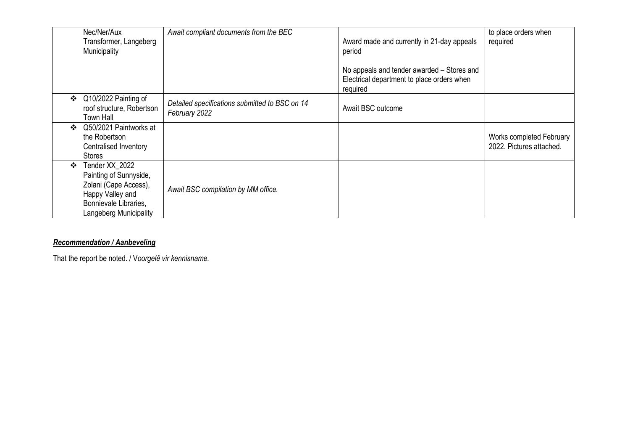|               | Nec/Ner/Aux<br>Transformer, Langeberg<br>Municipality                                                                                    | Await compliant documents from the BEC                          | Award made and currently in 21-day appeals<br>period<br>No appeals and tender awarded – Stores and<br>Electrical department to place orders when<br>required | to place orders when<br>required                     |
|---------------|------------------------------------------------------------------------------------------------------------------------------------------|-----------------------------------------------------------------|--------------------------------------------------------------------------------------------------------------------------------------------------------------|------------------------------------------------------|
| ❖             | Q10/2022 Painting of<br>roof structure, Robertson<br>Town Hall                                                                           | Detailed specifications submitted to BSC on 14<br>February 2022 | Await BSC outcome                                                                                                                                            |                                                      |
| $\frac{1}{2}$ | Q50/2021 Paintworks at<br>the Robertson<br>Centralised Inventory<br><b>Stores</b>                                                        |                                                                 |                                                                                                                                                              | Works completed February<br>2022. Pictures attached. |
| $\cdot$       | Tender XX 2022<br>Painting of Sunnyside,<br>Zolani (Cape Access),<br>Happy Valley and<br>Bonnievale Libraries,<br>Langeberg Municipality | Await BSC compilation by MM office.                             |                                                                                                                                                              |                                                      |

#### *Recommendation / Aanbeveling*

That the report be noted. / V*oorgelê vir kennisname.*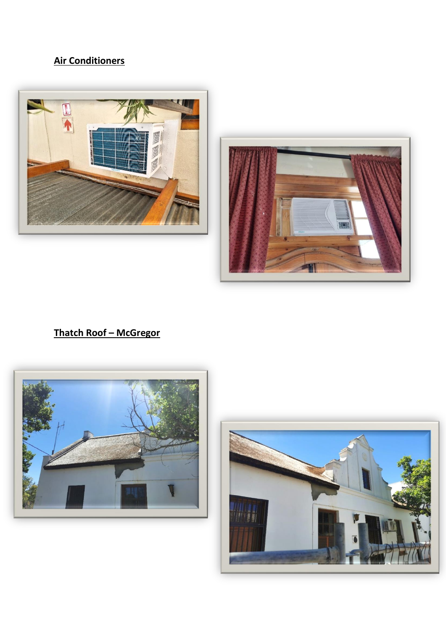### **Air Conditioners**





#### **Thatch Roof – McGregor**



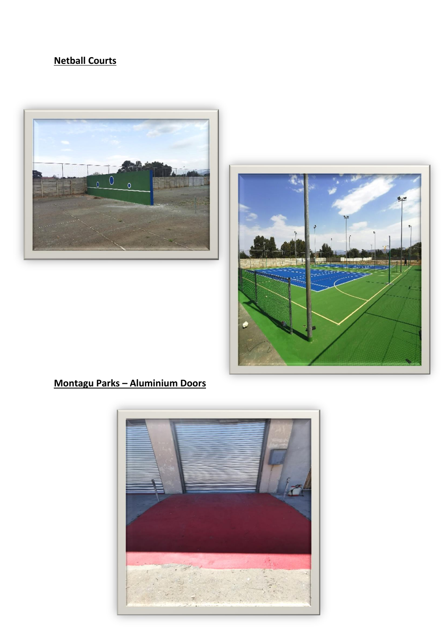### **Netball Courts**





### **Montagu Parks – Aluminium Doors**